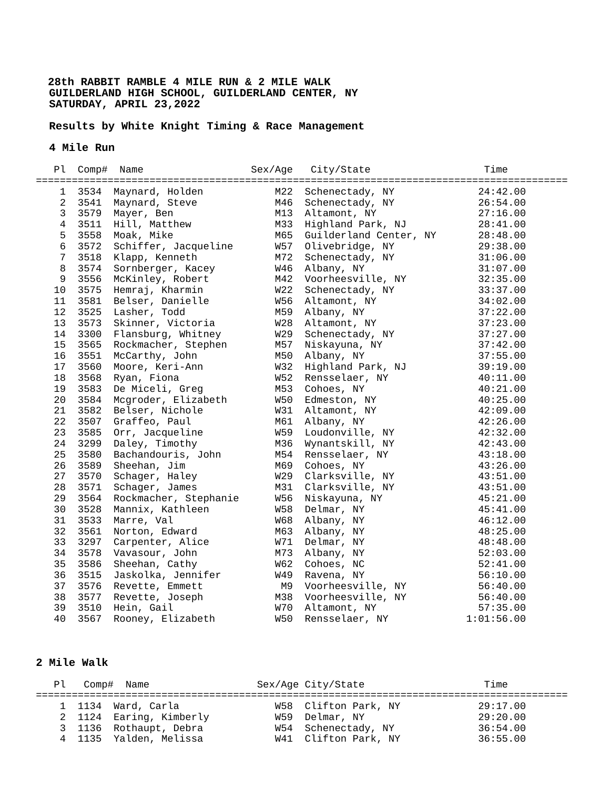#### **28th RABBIT RAMBLE 4 MILE RUN & 2 MILE WALK GUILDERLAND HIGH SCHOOL, GUILDERLAND CENTER, NY SATURDAY, APRIL 23,2022**

 **Results by White Knight Timing & Race Management**

## **4 Mile Run**

|                  | Pl Comp# | Name                  | Sex/Age    | City/State             | Time       |
|------------------|----------|-----------------------|------------|------------------------|------------|
| 1                | 3534     | Maynard, Holden       | M22        | Schenectady, NY        | 24:42.00   |
| $\overline{c}$   | 3541     | Maynard, Steve        | M46        | Schenectady, NY        | 26:54.00   |
| 3                | 3579     | Mayer, Ben            | M13        | Altamont, NY           | 27:16.00   |
| $\overline{4}$   | 3511     | Hill, Matthew         | M33        | Highland Park, NJ      | 28:41.00   |
| $\mathbf 5$      | 3558     | Moak, Mike            | M65        | Guilderland Center, NY | 28:48.00   |
| $\,6\,$          | 3572     | Schiffer, Jacqueline  | W57        | Olivebridge, NY        | 29:38.00   |
| $\bf 7$          | 3518     | Klapp, Kenneth        | M72        | Schenectady, NY        | 31:06.00   |
| 8                | 3574     | Sornberger, Kacey     | W46        | Albany, NY             | 31:07.00   |
| $\boldsymbol{9}$ | 3556     | McKinley, Robert      | M42        | Voorheesville, NY      | 32:35.00   |
| 10               | 3575     | Hemraj, Kharmin       | W22        | Schenectady, NY        | 33:37.00   |
| 11               | 3581     | Belser, Danielle      | W56        | Altamont, NY           | 34:02.00   |
| 12               | 3525     | Lasher, Todd          | M59        | Albany, NY             | 37:22.00   |
| 13               | 3573     | Skinner, Victoria     | W28        | Altamont, NY           | 37:23.00   |
| 14               | 3300     | Flansburg, Whitney    | W29        | Schenectady, NY        | 37:27.00   |
| 15               | 3565     | Rockmacher, Stephen   | M57        | Niskayuna, NY          | 37:42.00   |
| 16               | 3551     | McCarthy, John        | M50        | Albany, NY             | 37:55.00   |
| 17               | 3560     | Moore, Keri-Ann       | W32        | Highland Park, NJ      | 39:19.00   |
| 18               | 3568     | Ryan, Fiona           | W52        | Rensselaer, NY         | 40:11.00   |
| 19               | 3583     | De Miceli, Greg       | M53        | Cohoes, NY             | 40:21.00   |
| 20               | 3584     | Mcgroder, Elizabeth   | W50        | Edmeston, NY           | 40:25.00   |
| 21               | 3582     | Belser, Nichole       | W31        | Altamont, NY           | 42:09.00   |
| 22               | 3507     | Graffeo, Paul         | M61        | Albany, NY             | 42:26.00   |
| 23               | 3585     | Orr, Jacqueline       | W59        | Loudonville, NY        | 42:32.00   |
| 24               | 3299     | Daley, Timothy        | M36        | Wynantskill, NY        | 42:43.00   |
| 25               | 3580     | Bachandouris, John    | M54        | Rensselaer, NY         | 43:18.00   |
| 26               | 3589     | Sheehan, Jim          | M69        | Cohoes, NY             | 43:26.00   |
| 27               | 3570     | Schager, Haley        | W29        | Clarksville, NY        | 43:51.00   |
| 28               | 3571     | Schager, James        | M31        | Clarksville, NY        | 43:51.00   |
| 29               | 3564     | Rockmacher, Stephanie | W56        | Niskayuna, NY          | 45:21.00   |
| 30               | 3528     | Mannix, Kathleen      | <b>W58</b> | Delmar, NY             | 45:41.00   |
| 31               | 3533     | Marre, Val            | W68        | Albany, NY             | 46:12.00   |
| 32               | 3561     | Norton, Edward        | M63        | Albany, NY             | 48:25.00   |
| 33               | 3297     | Carpenter, Alice      | W71        | Delmar, NY             | 48:48.00   |
| 34               | 3578     | Vavasour, John        | M73        | Albany, NY             | 52:03.00   |
| 35               | 3586     | Sheehan, Cathy        | W62        | Cohoes, NC             | 52:41.00   |
| 36               | 3515     | Jaskolka, Jennifer    | W49        | Ravena, NY             | 56:10.00   |
| 37               | 3576     | Revette, Emmett       | M9         | Voorheesville, NY      | 56:40.00   |
| 38               | 3577     | Revette, Joseph       | M38        | Voorheesville, NY      | 56:40.00   |
| 39               | 3510     | Hein, Gail            | W70        | Altamont, NY           | 57:35.00   |
| 40               | 3567     | Rooney, Elizabeth     | W50        | Rensselaer, NY         | 1:01:56.00 |

# **2 Mile Walk**

|  | Pl Comp# Name                                                                                     | Sex/Age City/State                                                                    | Time                                         |  |
|--|---------------------------------------------------------------------------------------------------|---------------------------------------------------------------------------------------|----------------------------------------------|--|
|  | 1 1134 Ward, Carla<br>2 1124 Earing, Kimberly<br>3 1136 Rothaupt, Debra<br>4 1135 Yalden, Melissa | W58 Clifton Park, NY<br>W59 Delmar, NY<br>W54 Schenectady, NY<br>W41 Clifton Park, NY | 29:17.00<br>29:20.00<br>36:54.00<br>36:55.00 |  |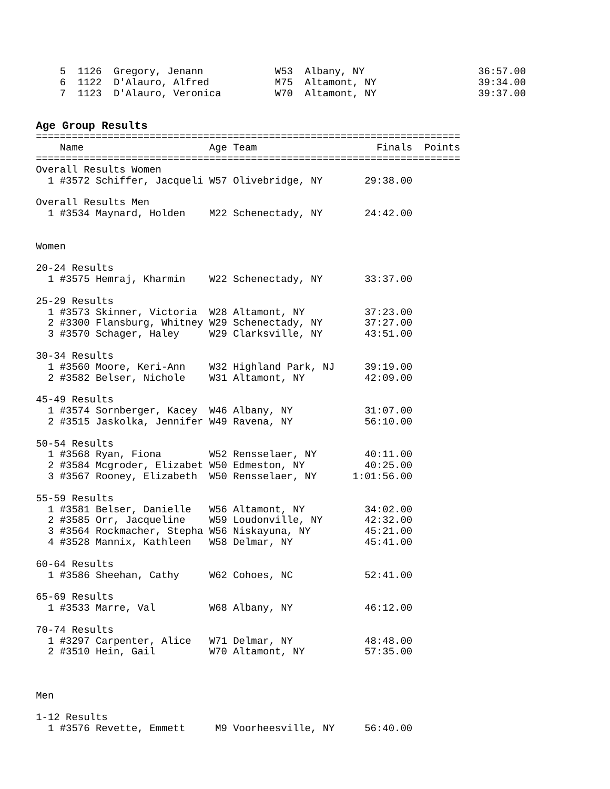|  | 5 1126 Gregory, Jenann    |  | W53 Albany, NY   | 36:57.00 |
|--|---------------------------|--|------------------|----------|
|  | 6 1122 D'Alauro, Alfred   |  | M75 Altamont, NY | 39:34.00 |
|  | 7 1123 D'Alauro, Veronica |  | W70 Altamont, NY | 39:37.00 |

## **Age Group Results**

| Name                                                                                                                                                                                                   | Age Team and the state of the state of the state of the state of the state of the state of the state of the state of the state of the state of the state of the state of the state of the state of the state of the state of t | Finals Points                                |  |
|--------------------------------------------------------------------------------------------------------------------------------------------------------------------------------------------------------|--------------------------------------------------------------------------------------------------------------------------------------------------------------------------------------------------------------------------------|----------------------------------------------|--|
| Overall Results Women<br>1 #3572 Schiffer, Jacqueli W57 Olivebridge, NY                                                                                                                                |                                                                                                                                                                                                                                | 29:38.00                                     |  |
| Overall Results Men<br>1 #3534 Maynard, Holden    M22 Schenectady, NY                                                                                                                                  |                                                                                                                                                                                                                                | 24:42.00                                     |  |
| Women                                                                                                                                                                                                  |                                                                                                                                                                                                                                |                                              |  |
| 20-24 Results<br>1 #3575 Hemraj, Kharmin   W22 Schenectady, NY                                                                                                                                         |                                                                                                                                                                                                                                | 33:37.00                                     |  |
| 25-29 Results<br>1 #3573 Skinner, Victoria  W28 Altamont, NY<br>2 #3300 Flansburg, Whitney W29 Schenectady, NY<br>3 #3570 Schager, Haley     W29 Clarksville, NY                                       |                                                                                                                                                                                                                                | 37:23.00<br>37:27.00<br>43:51.00             |  |
| 30-34 Results<br>1 #3560 Moore, Keri-Ann   W32 Highland Park, NJ<br>2 #3582 Belser, Nichole W31 Altamont, NY                                                                                           |                                                                                                                                                                                                                                | 39:19.00<br>42:09.00                         |  |
| 45-49 Results<br>1 #3574 Sornberger, Kacey W46 Albany, NY<br>2 #3515 Jaskolka Jennifer W49 Ravena NY<br>2 #3515 Jaskolka, Jennifer W49 Ravena, NY                                                      |                                                                                                                                                                                                                                | 31:07.00<br>56:10.00                         |  |
| 50-54 Results<br>1 #3568 Ryan, Fiona W52 Rensselaer, NY<br>2 #3584 Mcgroder, Elizabet W50 Edmeston, NY<br>3 #3567 Rooney, Elizabeth  W50 Rensselaer, NY                                                |                                                                                                                                                                                                                                | 40:11.00<br>40:25.00<br>1:01:56.00           |  |
| 55-59 Results<br>1 #3581 Belser, Danielle   W56 Altamont, NY<br>2 #3585 Orr, Jacqueline W59 Loudonville, NY<br>3 #3564 Rockmacher, Stepha W56 Niskayuna, NY<br>4 #3528 Mannix, Kathleen W58 Delmar, NY |                                                                                                                                                                                                                                | 34:02.00<br>42:32.00<br>45:21.00<br>45:41.00 |  |
| 60-64 Results<br>1 #3586 Sheehan, Cathy                                                                                                                                                                | W62 Cohoes, NC                                                                                                                                                                                                                 | 52:41.00                                     |  |
| 65-69 Results<br>1 #3533 Marre, Val                                                                                                                                                                    | W68 Albany, NY                                                                                                                                                                                                                 | 46:12.00                                     |  |
| 70-74 Results<br>1 #3297 Carpenter, Alice<br>2 #3510 Hein, Gail                                                                                                                                        | W71 Delmar, NY<br>W70 Altamont, NY                                                                                                                                                                                             | 48:48.00<br>57:35.00                         |  |

## Men